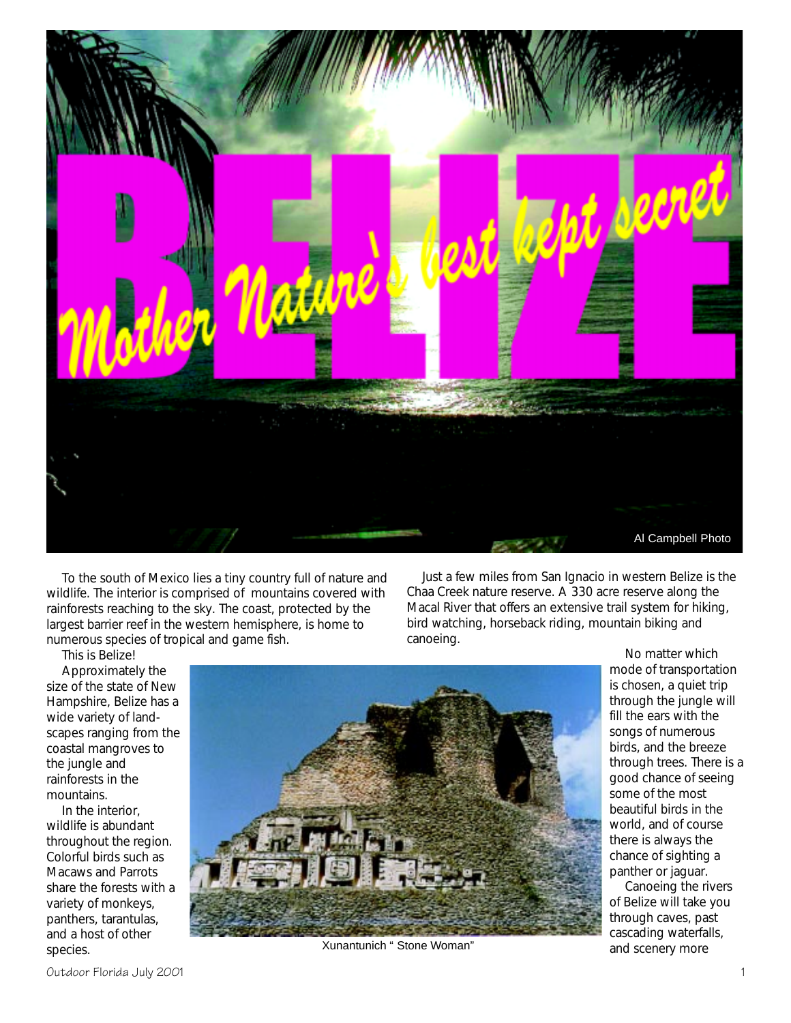

To the south of Mexico lies a tiny country full of nature and wildlife. The interior is comprised of mountains covered with rainforests reaching to the sky. The coast, protected by the largest barrier reef in the western hemisphere, is home to numerous species of tropical and game fish.

Just a few miles from San Ignacio in western Belize is the Chaa Creek nature reserve. A 330 acre reserve along the Macal River that offers an extensive trail system for hiking, bird watching, horseback riding, mountain biking and canoeing.

This is Belize! Approximately the size of the state of New Hampshire, Belize has a wide variety of landscapes ranging from the coastal mangroves to the jungle and rainforests in the mountains.

In the interior, wildlife is abundant throughout the region. Colorful birds such as Macaws and Parrots share the forests with a variety of monkeys, panthers, tarantulas, and a host of other species.



Xunantunich "Stone Woman" and scenery more

No matter which mode of transportation is chosen, a quiet trip through the jungle will fill the ears with the songs of numerous birds, and the breeze through trees. There is a good chance of seeing some of the most beautiful birds in the world, and of course there is always the chance of sighting a panther or jaguar.

Canoeing the rivers of Belize will take you through caves, past cascading waterfalls,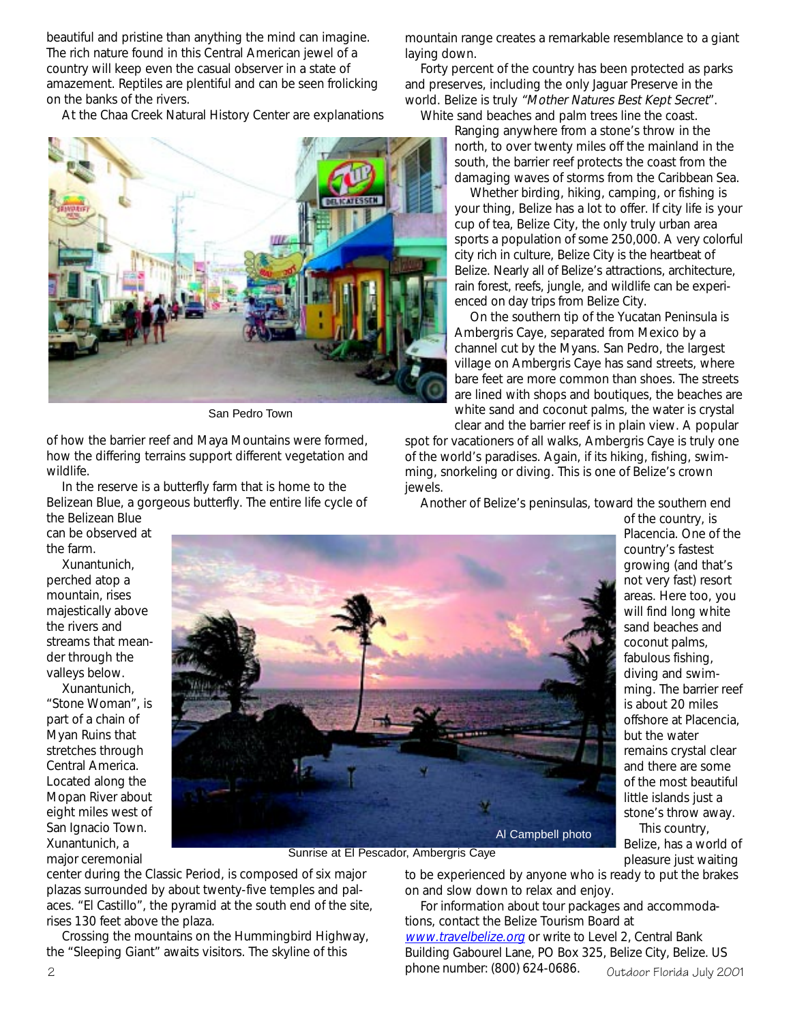beautiful and pristine than anything the mind can imagine. The rich nature found in this Central American jewel of a country will keep even the casual observer in a state of amazement. Reptiles are plentiful and can be seen frolicking on the banks of the rivers.

At the Chaa Creek Natural History Center are explanations



San Pedro Town

of how the barrier reef and Maya Mountains were formed, how the differing terrains support different vegetation and wildlife.

In the reserve is a butterfly farm that is home to the Belizean Blue, a gorgeous butterfly. The entire life cycle of the Belizean Blue

can be observed at the farm.

Xunantunich, perched atop a mountain, rises majestically above the rivers and streams that meander through the valleys below.

Xunantunich, "Stone Woman", is part of a chain of Myan Ruins that stretches through Central America. Located along the Mopan River about eight miles west of San Ignacio Town. Xunantunich, a major ceremonial



Sunrise at El Pescador, Ambergris Caye

center during the Classic Period, is composed of six major plazas surrounded by about twenty-five temples and palaces. "El Castillo", the pyramid at the south end of the site, rises 130 feet above the plaza.

Crossing the mountains on the Hummingbird Highway, the "Sleeping Giant" awaits visitors. The skyline of this

mountain range creates a remarkable resemblance to a giant laying down.

Forty percent of the country has been protected as parks and preserves, including the only Jaguar Preserve in the world. Belize is truly "Mother Natures Best Kept Secret". White sand beaches and palm trees line the coast.

Ranging anywhere from a stone's throw in the north, to over twenty miles off the mainland in the south, the barrier reef protects the coast from the damaging waves of storms from the Caribbean Sea.

Whether birding, hiking, camping, or fishing is your thing, Belize has a lot to offer. If city life is your cup of tea, Belize City, the only truly urban area sports a population of some 250,000. A very colorful city rich in culture, Belize City is the heartbeat of Belize. Nearly all of Belize's attractions, architecture, rain forest, reefs, jungle, and wildlife can be experienced on day trips from Belize City.

On the southern tip of the Yucatan Peninsula is Ambergris Caye, separated from Mexico by a channel cut by the Myans. San Pedro, the largest village on Ambergris Caye has sand streets, where bare feet are more common than shoes. The streets are lined with shops and boutiques, the beaches are white sand and coconut palms, the water is crystal clear and the barrier reef is in plain view. A popular

spot for vacationers of all walks, Ambergris Caye is truly one of the world's paradises. Again, if its hiking, fishing, swimming, snorkeling or diving. This is one of Belize's crown jewels.

Another of Belize's peninsulas, toward the southern end

of the country, is Placencia. One of the country's fastest growing (and that's not very fast) resort areas. Here too, you will find long white sand beaches and coconut palms, fabulous fishing, diving and swimming. The barrier reef is about 20 miles offshore at Placencia, but the water remains crystal clear and there are some of the most beautiful little islands just a stone's throw away.

This country, Belize, has a world of pleasure just waiting

to be experienced by anyone who is ready to put the brakes on and slow down to relax and enjoy.

 $\alpha$  phone number: (800) 624-0686.  $\alpha$  by  $\alpha$  and  $\alpha$  filter  $\alpha$ For information about tour packages and accommodations, contact the Belize Tourism Board at www.travelbelize.org or write to Level 2, Central Bank Building Gabourel Lane, PO Box 325, Belize City, Belize. US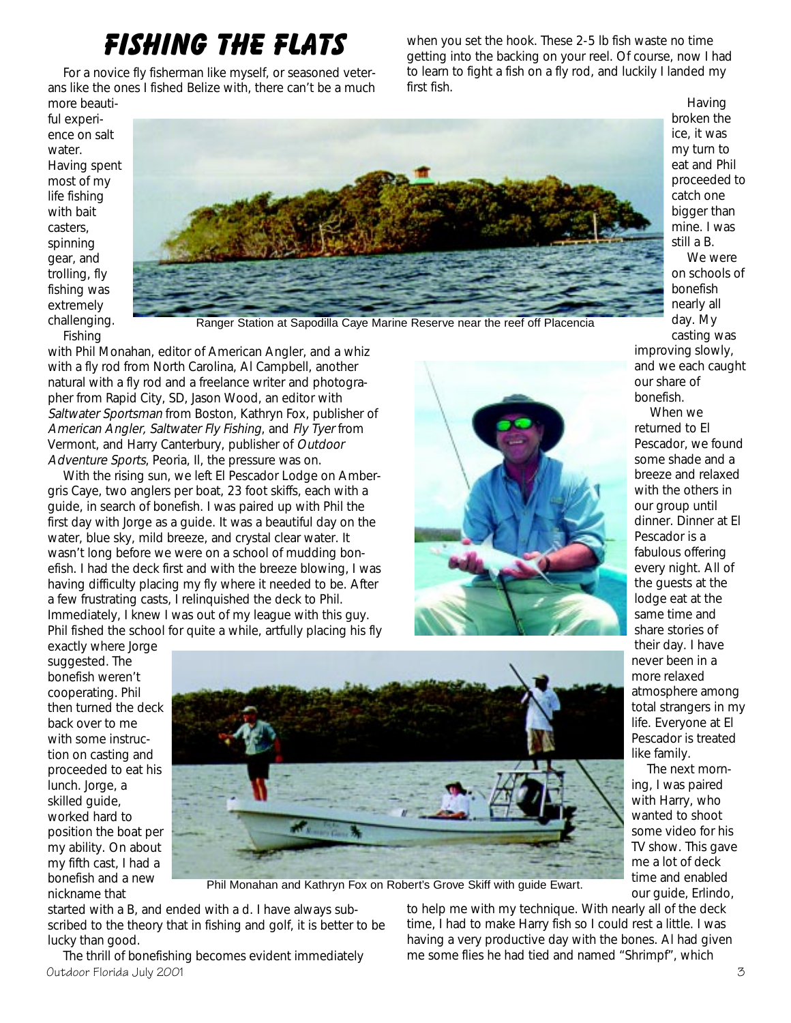## **FISHING THE FLATS**

For a novice fly fisherman like myself, or seasoned veterans like the ones I fished Belize with, there can't be a much more beautiwhen you set the hook. These 2-5 lb fish waste no time getting into the backing on your reel. Of course, now I had to learn to fight a fish on a fly rod, and luckily I landed my first fish.

ful experience on salt water. Having spent most of my life fishing with bait casters, spinning gear, and trolling, fly fishing was extremely challenging.



Fishing

Ranger Station at Sapodilla Caye Marine Reserve near the reef off Placencia

with Phil Monahan, editor of American Angler, and a whiz with a fly rod from North Carolina, Al Campbell, another natural with a fly rod and a freelance writer and photographer from Rapid City, SD, Jason Wood, an editor with Saltwater Sportsman from Boston, Kathryn Fox, publisher of American Angler, Saltwater Fly Fishing, and Fly Tyer from Vermont, and Harry Canterbury, publisher of Outdoor Adventure Sports, Peoria, Il, the pressure was on.

With the rising sun, we left El Pescador Lodge on Ambergris Caye, two anglers per boat, 23 foot skiffs, each with a guide, in search of bonefish. I was paired up with Phil the first day with Jorge as a guide. It was a beautiful day on the water, blue sky, mild breeze, and crystal clear water. It wasn't long before we were on a school of mudding bonefish. I had the deck first and with the breeze blowing, I was having difficulty placing my fly where it needed to be. After a few frustrating casts, I relinquished the deck to Phil. Immediately, I knew I was out of my league with this guy. Phil fished the school for quite a while, artfully placing his fly



Having broken the ice, it was my turn to eat and Phil proceeded to catch one bigger than mine. I was still a B. We were on schools of bonefish nearly all day. My casting was

improving slowly, and we each caught our share of bonefish.

When we returned to El Pescador, we found some shade and a breeze and relaxed with the others in our group until dinner. Dinner at El Pescador is a fabulous offering every night. All of the guests at the lodge eat at the same time and share stories of their day. I have never been in a more relaxed atmosphere among total strangers in my life. Everyone at El Pescador is treated like family.

The next morning, I was paired with Harry, who wanted to shoot some video for his TV show. This gave me a lot of deck time and enabled our guide, Erlindo,

exactly where Jorge suggested. The bonefish weren't cooperating. Phil then turned the deck back over to me with some instruction on casting and proceeded to eat his lunch. Jorge, a skilled guide, worked hard to position the boat per my ability. On about my fifth cast, I had a bonefish and a new nickname that



Phil Monahan and Kathryn Fox on Robert's Grove Skiff with guide Ewart.

started with a B, and ended with a d. I have always subscribed to the theory that in fishing and golf, it is better to be lucky than good.

Outdoor Florida July 2001 1 and  $\overline{5}$  3 The thrill of bonefishing becomes evident immediately

to help me with my technique. With nearly all of the deck time, I had to make Harry fish so I could rest a little. I was having a very productive day with the bones. Al had given me some flies he had tied and named "Shrimpf", which